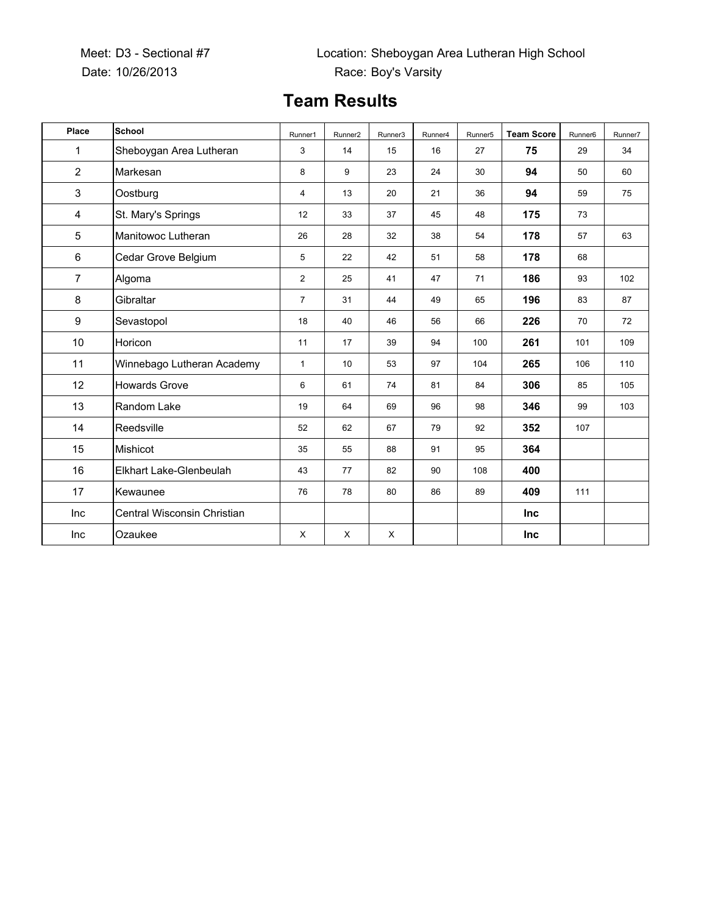## **Team Results**

| Place          | <b>School</b>               | Runner1        | Runner <sub>2</sub> | Runner3 | Runner4 | Runner <sub>5</sub> | <b>Team Score</b> | Runner <sub>6</sub> | Runner7 |
|----------------|-----------------------------|----------------|---------------------|---------|---------|---------------------|-------------------|---------------------|---------|
| $\mathbf{1}$   | Sheboygan Area Lutheran     | 3              | 14                  | 15      | 16      | 27                  | 75                | 29                  | 34      |
| $\overline{2}$ | Markesan                    | 8              | 9                   | 23      | 24      | 30                  | 94                | 50                  | 60      |
| 3              | Oostburg                    | $\overline{4}$ | 13                  | 20      | 21      | 36                  | 94                | 59                  | 75      |
| 4              | St. Mary's Springs          | 12             | 33                  | 37      | 45      | 48                  | 175               | 73                  |         |
| 5              | Manitowoc Lutheran          | 26             | 28                  | 32      | 38      | 54                  | 178               | 57                  | 63      |
| 6              | Cedar Grove Belgium         | 5              | 22                  | 42      | 51      | 58                  | 178               | 68                  |         |
| $\overline{7}$ | Algoma                      | $\overline{2}$ | 25                  | 41      | 47      | 71                  | 186               | 93                  | 102     |
| 8              | Gibraltar                   | $\overline{7}$ | 31                  | 44      | 49      | 65                  | 196               | 83                  | 87      |
| 9              | Sevastopol                  | 18             | 40                  | 46      | 56      | 66                  | 226               | 70                  | 72      |
| 10             | Horicon                     | 11             | 17                  | 39      | 94      | 100                 | 261               | 101                 | 109     |
| 11             | Winnebago Lutheran Academy  | $\mathbf{1}$   | 10                  | 53      | 97      | 104                 | 265               | 106                 | 110     |
| 12             | <b>Howards Grove</b>        | 6              | 61                  | 74      | 81      | 84                  | 306               | 85                  | 105     |
| 13             | Random Lake                 | 19             | 64                  | 69      | 96      | 98                  | 346               | 99                  | 103     |
| 14             | Reedsville                  | 52             | 62                  | 67      | 79      | 92                  | 352               | 107                 |         |
| 15             | Mishicot                    | 35             | 55                  | 88      | 91      | 95                  | 364               |                     |         |
| 16             | Elkhart Lake-Glenbeulah     | 43             | 77                  | 82      | 90      | 108                 | 400               |                     |         |
| 17             | Kewaunee                    | 76             | 78                  | 80      | 86      | 89                  | 409               | 111                 |         |
| Inc            | Central Wisconsin Christian |                |                     |         |         |                     | <b>Inc</b>        |                     |         |
| Inc            | Ozaukee                     | X              | X                   | X       |         |                     | Inc               |                     |         |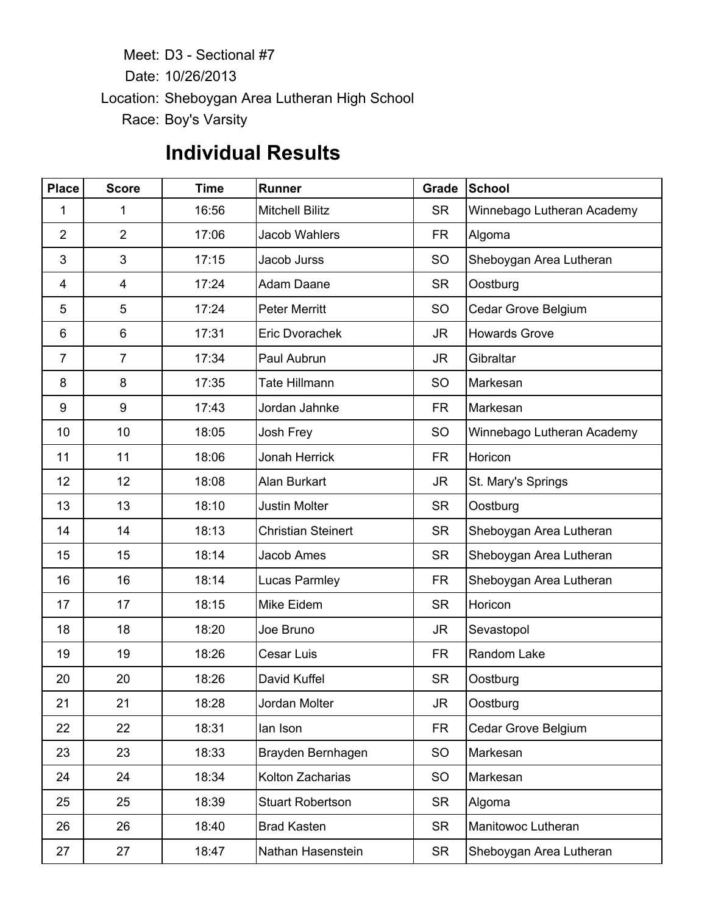Meet: D3 - Sectional #7 Date: 10/26/2013 Location: Sheboygan Area Lutheran High School Race: Boy's Varsity

## **Individual Results**

| <b>Place</b>   | <b>Score</b>   | <b>Time</b> | Runner                    | Grade     | School                     |
|----------------|----------------|-------------|---------------------------|-----------|----------------------------|
| 1              | 1              | 16:56       | <b>Mitchell Bilitz</b>    | <b>SR</b> | Winnebago Lutheran Academy |
| $\overline{2}$ | $\overline{2}$ | 17:06       | <b>Jacob Wahlers</b>      | <b>FR</b> | Algoma                     |
| 3              | 3              | 17:15       | Jacob Jurss               | SO        | Sheboygan Area Lutheran    |
| 4              | 4              | 17:24       | <b>Adam Daane</b>         | <b>SR</b> | Oostburg                   |
| 5              | 5              | 17:24       | <b>Peter Merritt</b>      | SO        | Cedar Grove Belgium        |
| 6              | 6              | 17:31       | Eric Dvorachek            | <b>JR</b> | <b>Howards Grove</b>       |
| $\overline{7}$ | $\overline{7}$ | 17:34       | Paul Aubrun               | JR.       | Gibraltar                  |
| 8              | 8              | 17:35       | <b>Tate Hillmann</b>      | SO        | Markesan                   |
| 9              | 9              | 17:43       | Jordan Jahnke             | <b>FR</b> | Markesan                   |
| 10             | 10             | 18:05       | Josh Frey                 | SO        | Winnebago Lutheran Academy |
| 11             | 11             | 18:06       | Jonah Herrick             | <b>FR</b> | Horicon                    |
| 12             | 12             | 18:08       | <b>Alan Burkart</b>       | <b>JR</b> | St. Mary's Springs         |
| 13             | 13             | 18:10       | Justin Molter             | <b>SR</b> | Oostburg                   |
| 14             | 14             | 18:13       | <b>Christian Steinert</b> | <b>SR</b> | Sheboygan Area Lutheran    |
| 15             | 15             | 18:14       | Jacob Ames                | <b>SR</b> | Sheboygan Area Lutheran    |
| 16             | 16             | 18:14       | Lucas Parmley             | FR.       | Sheboygan Area Lutheran    |
| 17             | 17             | 18:15       | Mike Eidem                | <b>SR</b> | Horicon                    |
| 18             | 18             | 18:20       | Joe Bruno                 | <b>JR</b> | Sevastopol                 |
| 19             | 19             | 18:26       | <b>Cesar Luis</b>         | <b>FR</b> | Random Lake                |
| 20             | 20             | 18:26       | David Kuffel              | <b>SR</b> | Oostburg                   |
| 21             | 21             | 18:28       | Jordan Molter             | <b>JR</b> | Oostburg                   |
| 22             | 22             | 18:31       | lan Ison                  | <b>FR</b> | Cedar Grove Belgium        |
| 23             | 23             | 18:33       | Brayden Bernhagen         | SO        | Markesan                   |
| 24             | 24             | 18:34       | Kolton Zacharias          | SO        | Markesan                   |
| 25             | 25             | 18:39       | <b>Stuart Robertson</b>   | <b>SR</b> | Algoma                     |
| 26             | 26             | 18:40       | <b>Brad Kasten</b>        | <b>SR</b> | Manitowoc Lutheran         |
| 27             | 27             | 18:47       | Nathan Hasenstein         | <b>SR</b> | Sheboygan Area Lutheran    |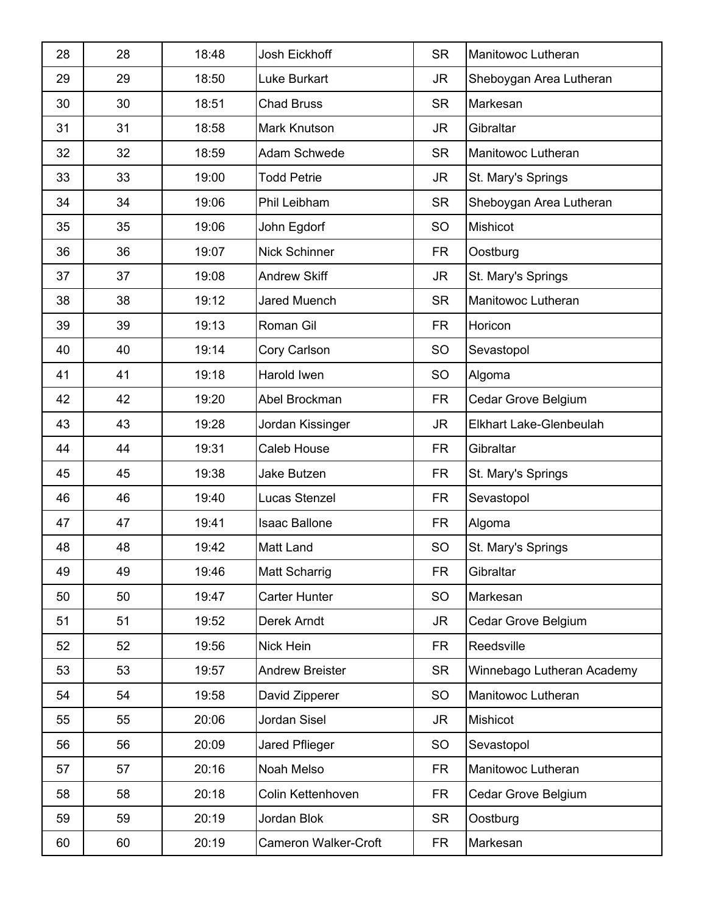| 28 | 28 | 18:48 | <b>Josh Eickhoff</b>        | <b>SR</b> | Manitowoc Lutheran         |
|----|----|-------|-----------------------------|-----------|----------------------------|
| 29 | 29 | 18:50 | <b>Luke Burkart</b>         | JR        | Sheboygan Area Lutheran    |
| 30 | 30 | 18:51 | <b>Chad Bruss</b>           | <b>SR</b> | Markesan                   |
| 31 | 31 | 18:58 | Mark Knutson                | JR        | Gibraltar                  |
| 32 | 32 | 18:59 | <b>Adam Schwede</b>         | <b>SR</b> | Manitowoc Lutheran         |
| 33 | 33 | 19:00 | <b>Todd Petrie</b>          | JR        | St. Mary's Springs         |
| 34 | 34 | 19:06 | Phil Leibham                | <b>SR</b> | Sheboygan Area Lutheran    |
| 35 | 35 | 19:06 | John Egdorf                 | <b>SO</b> | Mishicot                   |
| 36 | 36 | 19:07 | <b>Nick Schinner</b>        | <b>FR</b> | Oostburg                   |
| 37 | 37 | 19:08 | <b>Andrew Skiff</b>         | JR.       | St. Mary's Springs         |
| 38 | 38 | 19:12 | <b>Jared Muench</b>         | <b>SR</b> | Manitowoc Lutheran         |
| 39 | 39 | 19:13 | Roman Gil                   | <b>FR</b> | Horicon                    |
| 40 | 40 | 19:14 | Cory Carlson                | <b>SO</b> | Sevastopol                 |
| 41 | 41 | 19:18 | Harold Iwen                 | <b>SO</b> | Algoma                     |
| 42 | 42 | 19:20 | Abel Brockman               | <b>FR</b> | Cedar Grove Belgium        |
| 43 | 43 | 19:28 | Jordan Kissinger            | JR.       | Elkhart Lake-Glenbeulah    |
| 44 | 44 | 19:31 | Caleb House                 | <b>FR</b> | Gibraltar                  |
| 45 | 45 | 19:38 | <b>Jake Butzen</b>          | <b>FR</b> | St. Mary's Springs         |
| 46 | 46 | 19:40 | Lucas Stenzel               | <b>FR</b> | Sevastopol                 |
| 47 | 47 | 19:41 | <b>Isaac Ballone</b>        | FR        | Algoma                     |
| 48 | 48 | 19:42 | Matt Land                   | <b>SO</b> | St. Mary's Springs         |
| 49 | 49 | 19:46 | Matt Scharrig               | <b>FR</b> | Gibraltar                  |
| 50 | 50 | 19:47 | <b>Carter Hunter</b>        | <b>SO</b> | Markesan                   |
| 51 | 51 | 19:52 | Derek Arndt                 | JR.       | Cedar Grove Belgium        |
| 52 | 52 | 19:56 | Nick Hein                   | <b>FR</b> | Reedsville                 |
| 53 | 53 | 19:57 | <b>Andrew Breister</b>      | <b>SR</b> | Winnebago Lutheran Academy |
| 54 | 54 | 19:58 | David Zipperer              | <b>SO</b> | Manitowoc Lutheran         |
| 55 | 55 | 20:06 | Jordan Sisel                | JR.       | Mishicot                   |
| 56 | 56 | 20:09 | Jared Pflieger              | <b>SO</b> | Sevastopol                 |
| 57 | 57 | 20:16 | Noah Melso                  | <b>FR</b> | Manitowoc Lutheran         |
| 58 | 58 | 20:18 | Colin Kettenhoven           | <b>FR</b> | Cedar Grove Belgium        |
| 59 | 59 | 20:19 | Jordan Blok                 | <b>SR</b> | Oostburg                   |
| 60 | 60 | 20:19 | <b>Cameron Walker-Croft</b> | <b>FR</b> | Markesan                   |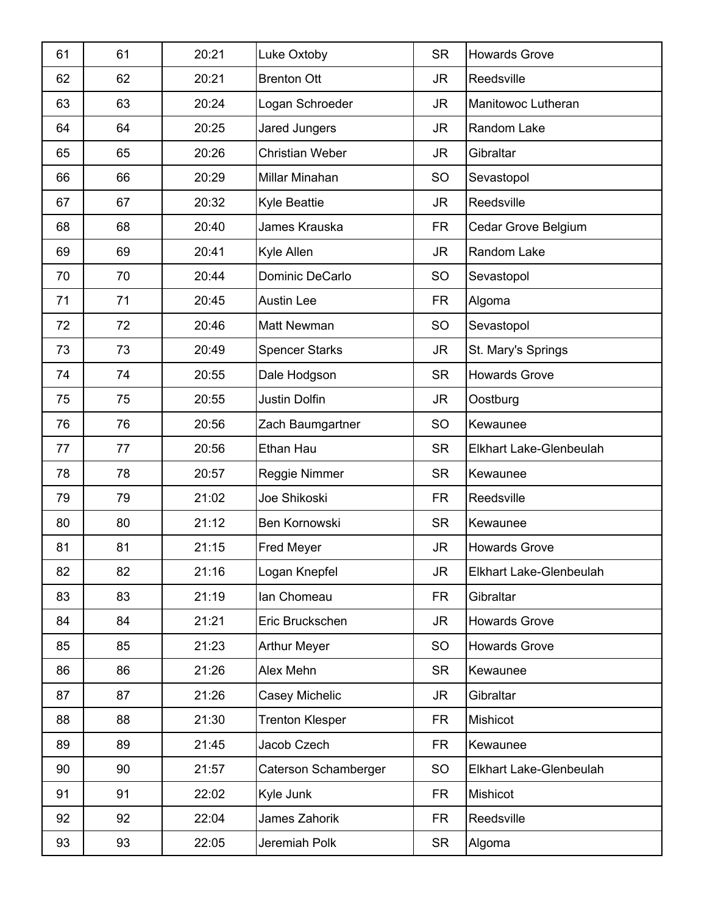| 61 | 61 | 20:21 | Luke Oxtoby            | <b>SR</b> | <b>Howards Grove</b>    |
|----|----|-------|------------------------|-----------|-------------------------|
| 62 | 62 | 20:21 | <b>Brenton Ott</b>     | JR.       | Reedsville              |
| 63 | 63 | 20:24 | Logan Schroeder        | JR.       | Manitowoc Lutheran      |
| 64 | 64 | 20:25 | Jared Jungers          | JR.       | Random Lake             |
| 65 | 65 | 20:26 | <b>Christian Weber</b> | <b>JR</b> | Gibraltar               |
| 66 | 66 | 20:29 | Millar Minahan         | SO        | Sevastopol              |
| 67 | 67 | 20:32 | <b>Kyle Beattie</b>    | JR.       | Reedsville              |
| 68 | 68 | 20:40 | James Krauska          | <b>FR</b> | Cedar Grove Belgium     |
| 69 | 69 | 20:41 | Kyle Allen             | <b>JR</b> | Random Lake             |
| 70 | 70 | 20:44 | Dominic DeCarlo        | SO        | Sevastopol              |
| 71 | 71 | 20:45 | <b>Austin Lee</b>      | <b>FR</b> | Algoma                  |
| 72 | 72 | 20:46 | <b>Matt Newman</b>     | SO        | Sevastopol              |
| 73 | 73 | 20:49 | <b>Spencer Starks</b>  | JR.       | St. Mary's Springs      |
| 74 | 74 | 20:55 | Dale Hodgson           | <b>SR</b> | <b>Howards Grove</b>    |
| 75 | 75 | 20:55 | Justin Dolfin          | JR.       | Oostburg                |
| 76 | 76 | 20:56 | Zach Baumgartner       | SO        | Kewaunee                |
| 77 | 77 | 20:56 | Ethan Hau              | <b>SR</b> | Elkhart Lake-Glenbeulah |
| 78 | 78 | 20:57 | Reggie Nimmer          | <b>SR</b> | Kewaunee                |
| 79 | 79 | 21:02 | Joe Shikoski           | <b>FR</b> | Reedsville              |
| 80 | 80 | 21:12 | Ben Kornowski          | <b>SR</b> | Kewaunee                |
| 81 | 81 | 21:15 | Fred Meyer             | JR.       | <b>Howards Grove</b>    |
| 82 | 82 | 21:16 | Logan Knepfel          | JR        | Elkhart Lake-Glenbeulah |
| 83 | 83 | 21:19 | lan Chomeau            | <b>FR</b> | Gibraltar               |
| 84 | 84 | 21:21 | Eric Bruckschen        | JR.       | <b>Howards Grove</b>    |
| 85 | 85 | 21:23 | <b>Arthur Meyer</b>    | SO        | <b>Howards Grove</b>    |
| 86 | 86 | 21:26 | Alex Mehn              | <b>SR</b> | Kewaunee                |
| 87 | 87 | 21:26 | Casey Michelic         | JR.       | Gibraltar               |
| 88 | 88 | 21:30 | <b>Trenton Klesper</b> | <b>FR</b> | Mishicot                |
| 89 | 89 | 21:45 | Jacob Czech            | <b>FR</b> | Kewaunee                |
| 90 | 90 | 21:57 | Caterson Schamberger   | <b>SO</b> | Elkhart Lake-Glenbeulah |
| 91 | 91 | 22:02 | Kyle Junk              | <b>FR</b> | Mishicot                |
| 92 | 92 | 22:04 | James Zahorik          | <b>FR</b> | Reedsville              |
| 93 | 93 | 22:05 | Jeremiah Polk          | <b>SR</b> | Algoma                  |